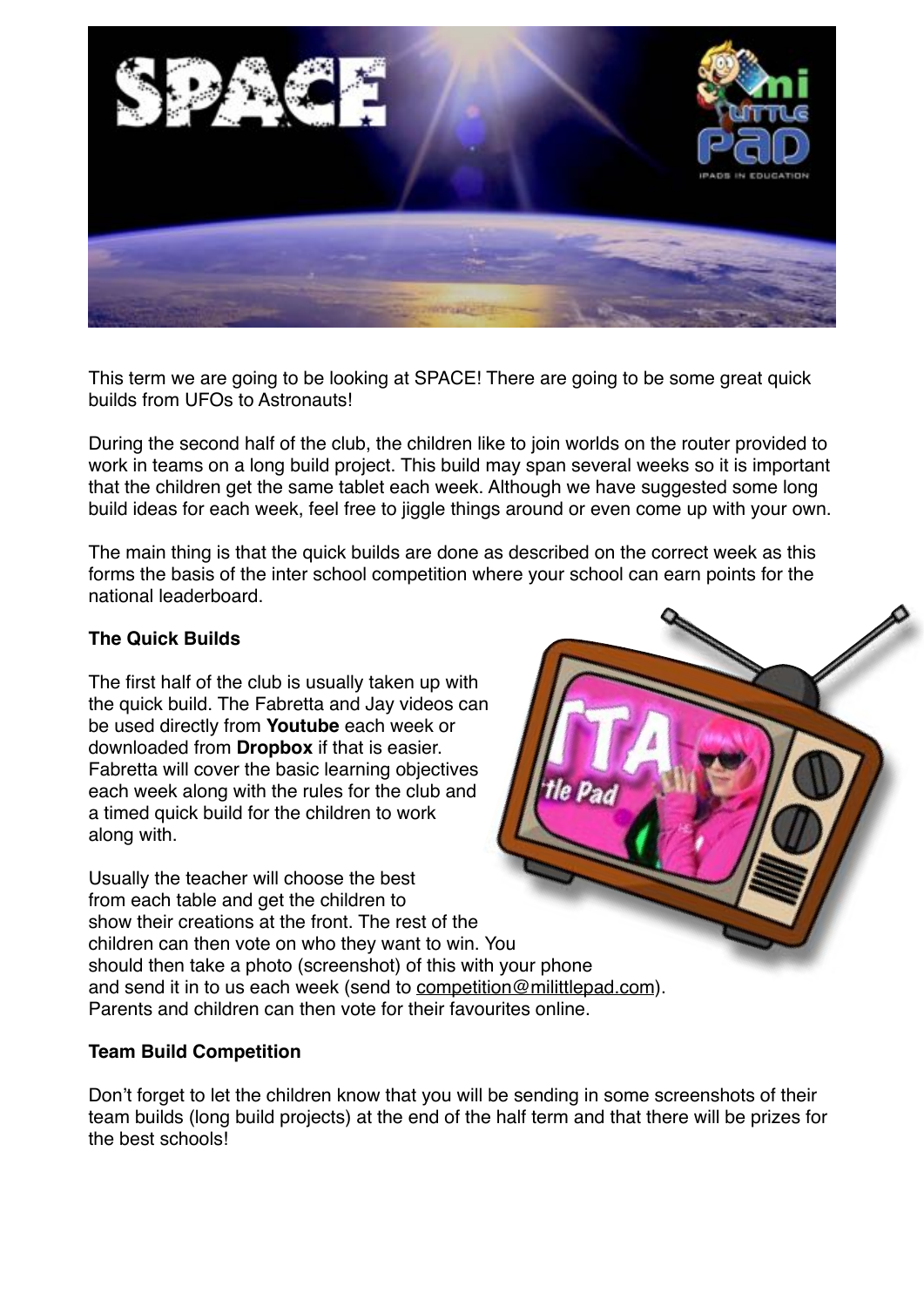

This term we are going to be looking at SPACE! There are going to be some great quick builds from UFOs to Astronauts!

During the second half of the club, the children like to join worlds on the router provided to work in teams on a long build project. This build may span several weeks so it is important that the children get the same tablet each week. Although we have suggested some long build ideas for each week, feel free to jiggle things around or even come up with your own.

The main thing is that the quick builds are done as described on the correct week as this forms the basis of the inter school competition where your school can earn points for the national leaderboard.

## **The Quick Builds**

The first half of the club is usually taken up with the quick build. The Fabretta and Jay videos can be used directly from **Youtube** each week or downloaded from **Dropbox** if that is easier. Fabretta will cover the basic learning objectives each week along with the rules for the club and a timed quick build for the children to work along with.

Usually the teacher will choose the best from each table and get the children to show their creations at the front. The rest of the children can then vote on who they want to win. You should then take a photo (screenshot) of this with your phone and send it in to us each week (send to [competition@milittlepad.com](mailto:competition@milittlepad.com)). Parents and children can then vote for their favourites online.

### **Team Build Competition**

Don't forget to let the children know that you will be sending in some screenshots of their team builds (long build projects) at the end of the half term and that there will be prizes for the best schools!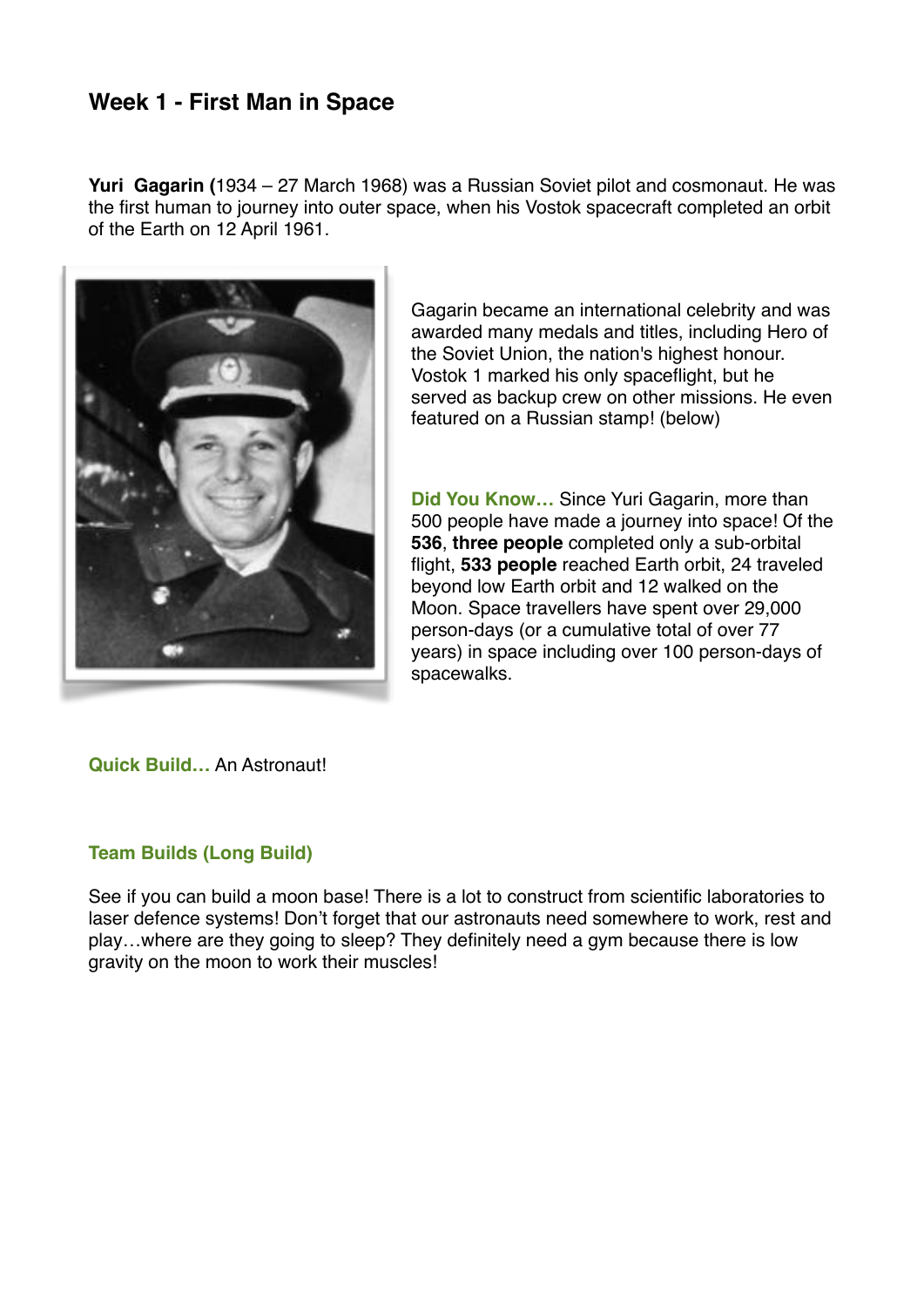## **Week 1 - First Man in Space**

**Yuri Gagarin (**1934 – 27 March 1968) was a [Russian](https://en.wikipedia.org/wiki/Russian_people) [Soviet](https://en.wikipedia.org/wiki/Soviet_Air_Forces) pilot and [cosmonaut.](https://en.wikipedia.org/wiki/Cosmonaut) He was the first human to journey into [outer space](https://en.wikipedia.org/wiki/Outer_space), when his [Vostok](https://en.wikipedia.org/wiki/Vostok_(spacecraft)) [spacecraft](https://en.wikipedia.org/wiki/Spacecraft) completed an [orbit](https://en.wikipedia.org/wiki/Orbit) of the [Earth](https://en.wikipedia.org/wiki/Earth) on 12 April 1961.



Gagarin became an international celebrity and was awarded many medals and titles, including [Hero of](https://en.wikipedia.org/wiki/Hero_of_the_Soviet_Union)  [the Soviet Union](https://en.wikipedia.org/wiki/Hero_of_the_Soviet_Union), the nation's highest honour. [Vostok 1](https://en.wikipedia.org/wiki/Vostok_1) marked his only spaceflight, but he served as backup crew on other missions. He even featured on a Russian stamp! (below)

**Did You Know…** Since Yuri Gagarin, more than 500 people have made a journey into space! Of the **536**, **three people** completed only a sub-orbital flight, **533 people** reached Earth orbit, 24 traveled beyond low Earth orbit and 12 walked on the Moon. Space travellers have spent over 29,000 person-days (or a cumulative total of over 77 years) in space including over 100 person-days of spacewalks.

**Quick Build…** An Astronaut!

### **Team Builds (Long Build)**

See if you can build a moon base! There is a lot to construct from scientific laboratories to laser defence systems! Don't forget that our astronauts need somewhere to work, rest and play…where are they going to sleep? They definitely need a gym because there is low gravity on the moon to work their muscles!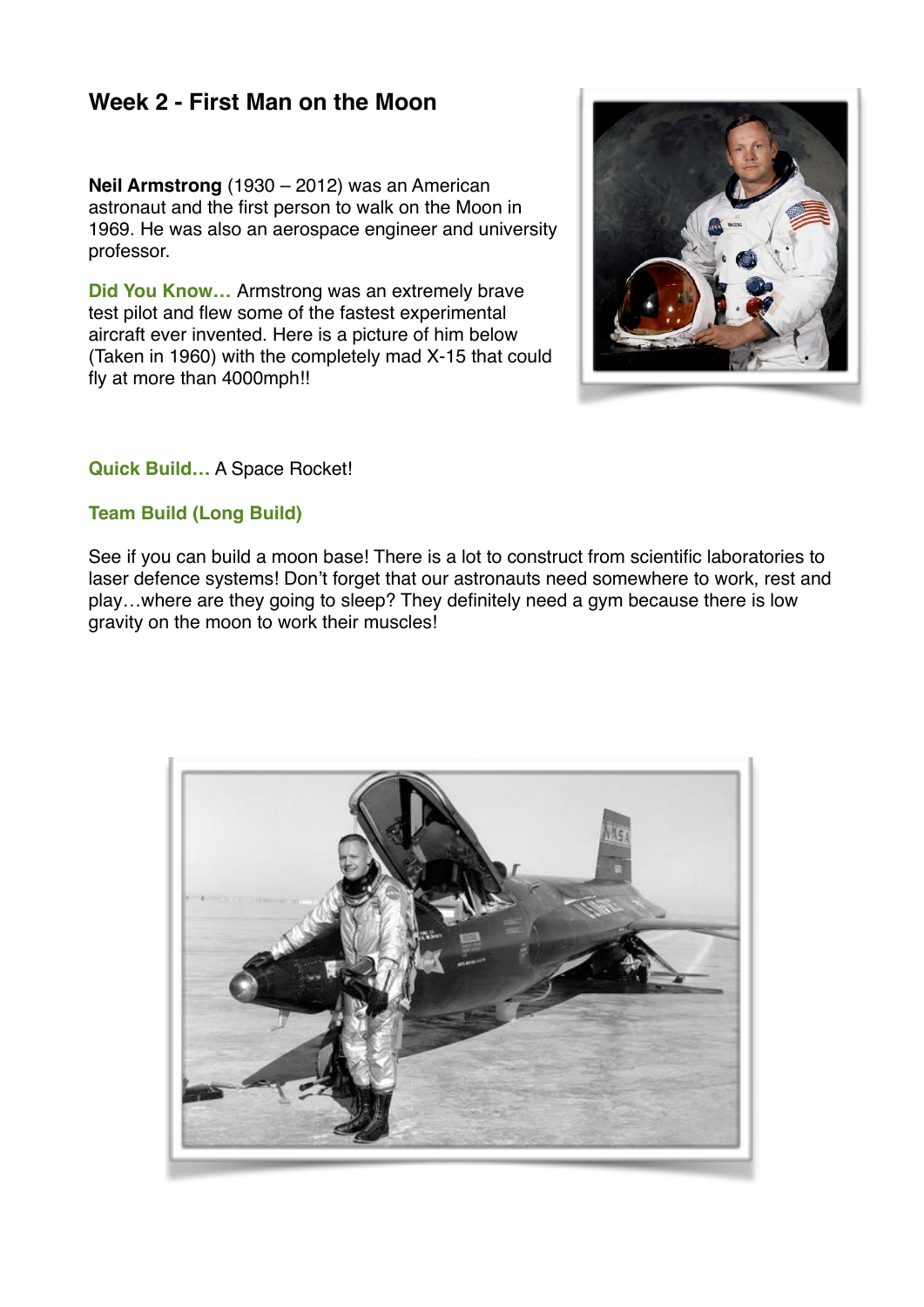## **Week 2 - First Man on the Moon**

**Neil Armstrong** (1930 – 2012) was an American [astronaut](https://en.wikipedia.org/wiki/Astronaut) and the [first person to walk on the Moon](https://en.wikipedia.org/wiki/Apollo_11#Lunar_surface_operations) in 1969. He was also an [aerospace engineer](https://en.wikipedia.org/wiki/Aerospace_engineering) and [university](https://en.wikipedia.org/wiki/University_professor)  [professor](https://en.wikipedia.org/wiki/University_professor).

**Did You Know…** Armstrong was an extremely brave test pilot and flew some of the fastest experimental aircraft ever invented. Here is a picture of him below (Taken in 1960) with the completely mad X-15 that could fly at more than 4000mph!!



### **Quick Build…** A Space Rocket!

### **Team Build (Long Build)**

See if you can build a moon base! There is a lot to construct from scientific laboratories to laser defence systems! Don't forget that our astronauts need somewhere to work, rest and play…where are they going to sleep? They definitely need a gym because there is low gravity on the moon to work their muscles!

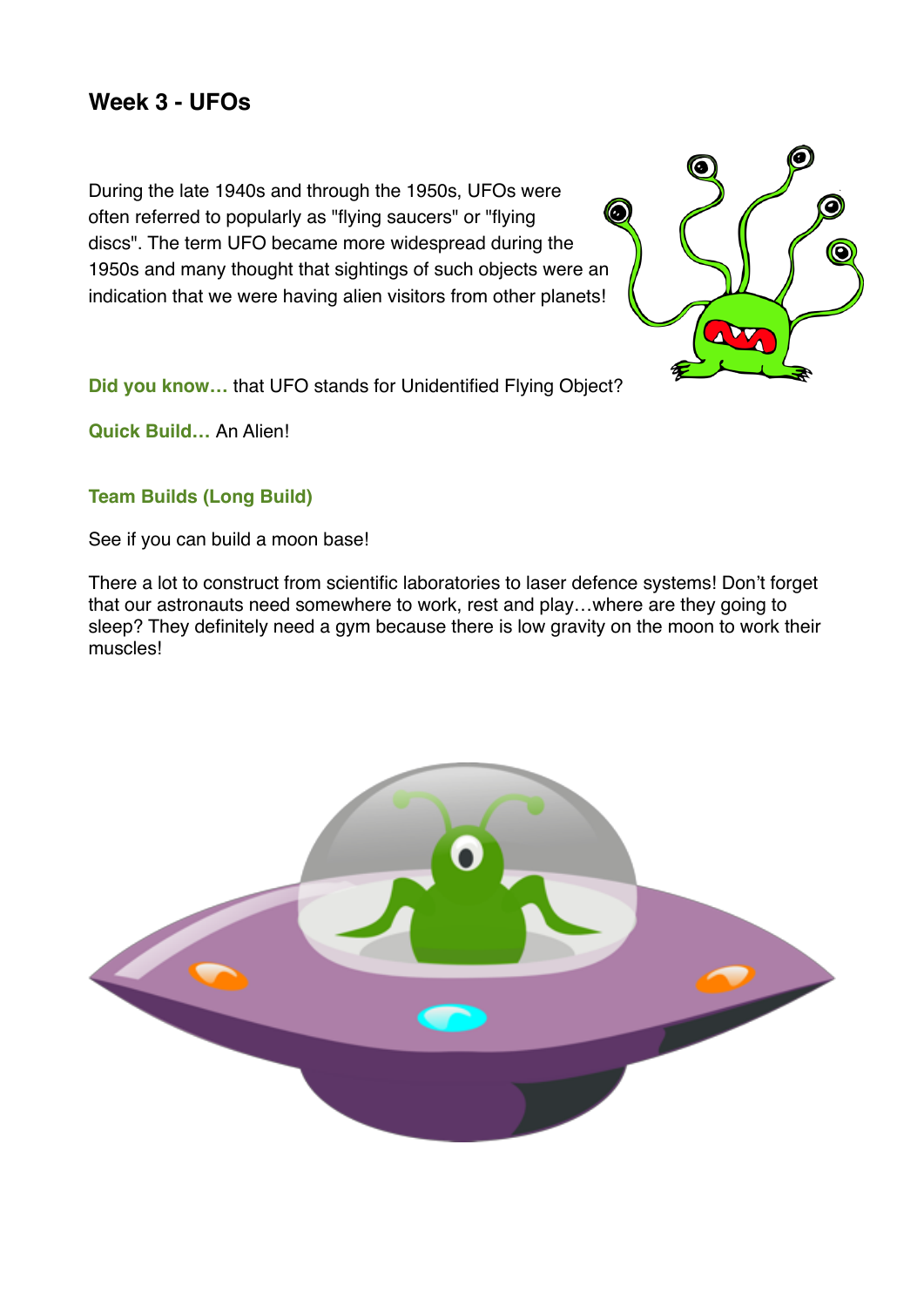## **Week 3 - UFOs**

During the late 1940s and through the 1950s, UFOs were often referred to popularly as ["flying saucers](https://en.wikipedia.org/wiki/Flying_saucer)" or "flying discs". The term UFO became more widespread during the 1950s and many thought that sightings of such objects were an indication that we were having alien visitors from other planets!



**Did you know…** that UFO stands for Unidentified Flying Object?

**Quick Build…** An Alien!

## **Team Builds (Long Build)**

See if you can build a moon base!

There a lot to construct from scientific laboratories to laser defence systems! Don't forget that our astronauts need somewhere to work, rest and play…where are they going to sleep? They definitely need a gym because there is low gravity on the moon to work their muscles!

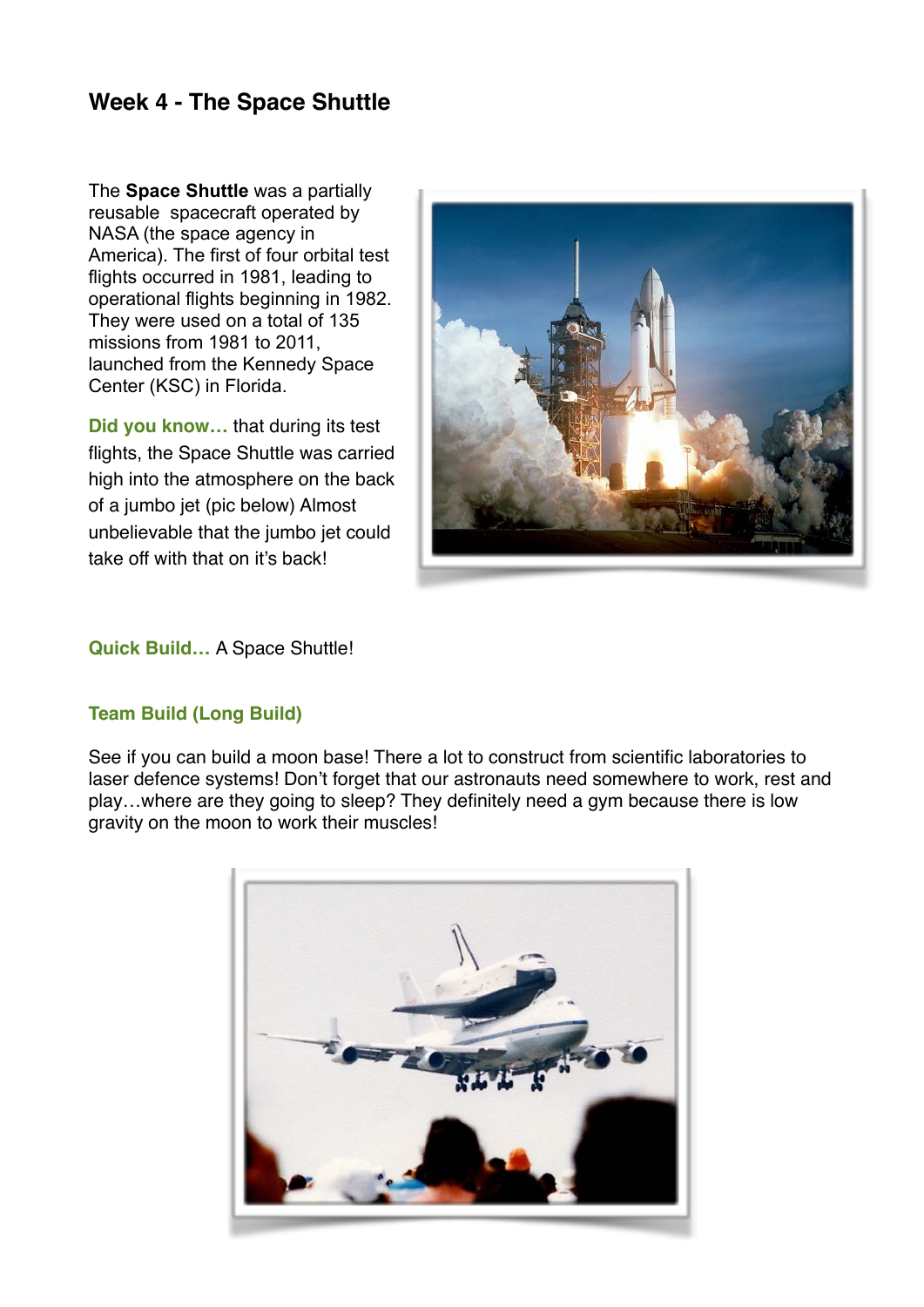# **Week 4 - The Space Shuttle**

The **Space Shuttle** was a partially [reusable](https://en.wikipedia.org/wiki/Reusable_launch_system) [spacecraft](https://en.wikipedia.org/wiki/Spacecraft) operated by NASA (the space agency in America). The first of four orbital test flights occurred in 1981, leading to operational flights beginning in 1982. They were used on a total of 135 missions from 1981 to 2011, launched from the [Kennedy Space](https://en.wikipedia.org/wiki/Kennedy_Space_Center)  [Center](https://en.wikipedia.org/wiki/Kennedy_Space_Center) (KSC) in Florida.

**Did you know…** that during its test flights, the Space Shuttle was carried high into the atmosphere on the back of a jumbo jet (pic below) Almost unbelievable that the jumbo jet could take off with that on it's back!



#### **Quick Build…** A Space Shuttle!

### **Team Build (Long Build)**

See if you can build a moon base! There a lot to construct from scientific laboratories to laser defence systems! Don't forget that our astronauts need somewhere to work, rest and play…where are they going to sleep? They definitely need a gym because there is low gravity on the moon to work their muscles!

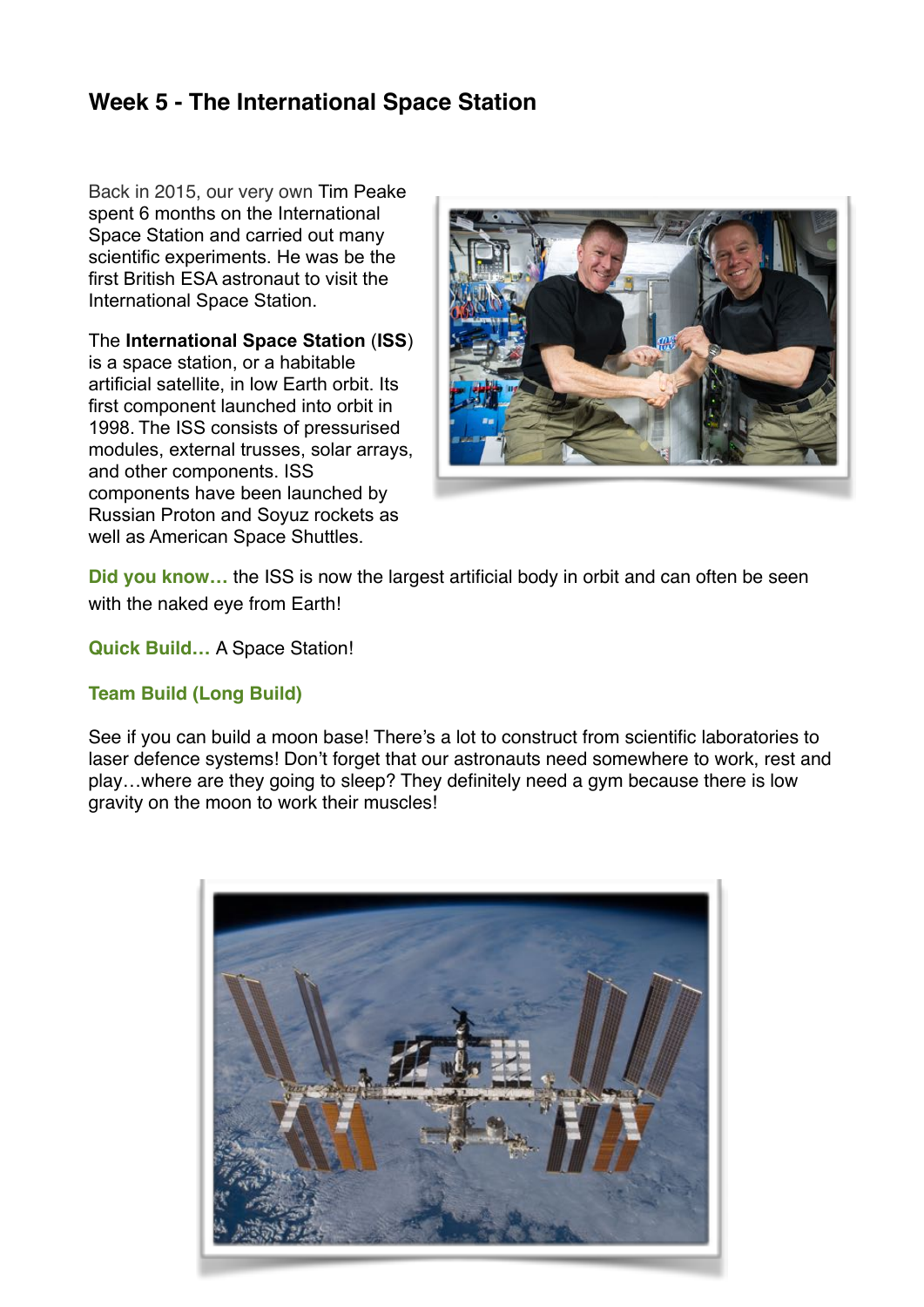# **Week 5 - The International Space Station**

Back in 2015, our very own Tim Peake spent 6 months on the International Space Station and carried out many scientific experiments. He was be the first British ESA astronaut to visit the International Space Station.

The **International Space Station** (**ISS**)

is a [space station](https://en.wikipedia.org/wiki/Space_station), or a habitable [artificial satellite](https://en.wikipedia.org/wiki/Satellite), in [low Earth orbit](https://en.wikipedia.org/wiki/Low_Earth_orbit). Its first component launched into orbit in 1998. The ISS consists of pressurised modules, external trusses, [solar arrays](https://en.wikipedia.org/wiki/Solar_arrays), and other components. ISS components have been launched by Russian [Proton](https://en.wikipedia.org/wiki/Proton_(rocket)) and [Soyuz](https://en.wikipedia.org/wiki/Soyuz_(rocket_family)) rockets as well as American [Space Shuttles](https://en.wikipedia.org/wiki/Space_Shuttle).



**Did you know…** the ISS is now the largest artificial body in orbit and can often be seen with the [naked eye](https://en.wikipedia.org/wiki/Naked_eye) from Earth!

**Quick Build…** A Space Station!

## **Team Build (Long Build)**

See if you can build a moon base! There's a lot to construct from scientific laboratories to laser defence systems! Don't forget that our astronauts need somewhere to work, rest and play…where are they going to sleep? They definitely need a gym because there is low gravity on the moon to work their muscles!

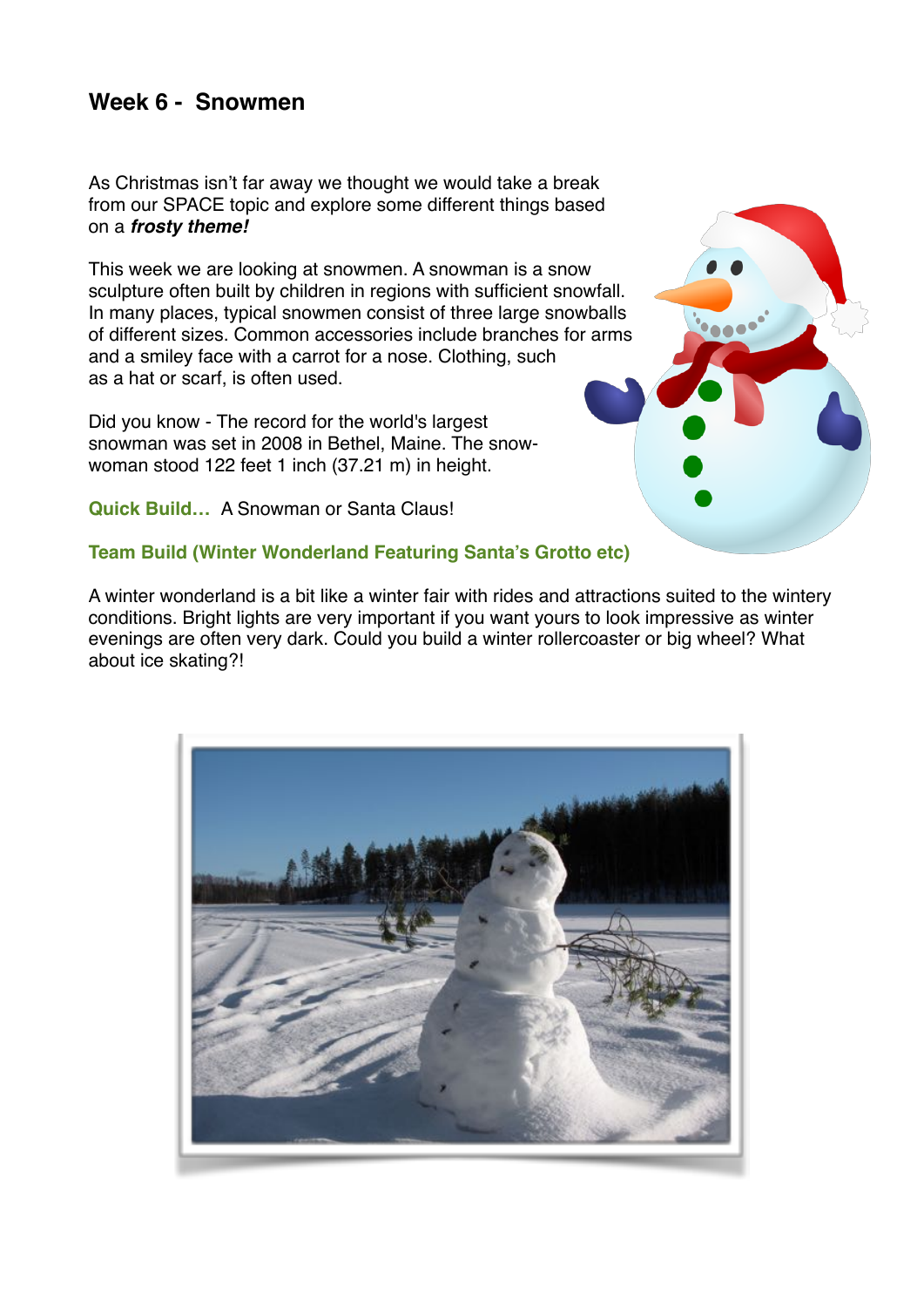## **Week 6 - Snowmen**

As Christmas isn't far away we thought we would take a break from our SPACE topic and explore some different things based on a *frosty theme!*

This week we are looking at snowmen. A snowman is a [snow](https://en.wikipedia.org/wiki/Snow_sculpture)  [sculpture](https://en.wikipedia.org/wiki/Snow_sculpture) often built by children in regions with sufficient snowfall. In many places, typical snowmen consist of three large snowballs of different sizes. Common accessories include branches for arms and a [smiley face](https://en.wikipedia.org/wiki/Smiley) with a [carrot](https://en.wikipedia.org/wiki/Carrot) for a nose. Clothing, such as a [hat](https://en.wikipedia.org/wiki/Hat) or [scarf](https://en.wikipedia.org/wiki/Scarf), is often used.

Did you know - The record for the world's largest snowman was set in 2008 in [Bethel, Maine](https://en.wikipedia.org/wiki/Bethel,_Maine). The snowwoman stood 122 feet 1 inch (37.21 m) in height.

**Quick Build…** A Snowman or Santa Claus!

## **Team Build (Winter Wonderland Featuring Santa's Grotto etc)**

A winter wonderland is a bit like a winter fair with rides and attractions suited to the wintery conditions. Bright lights are very important if you want yours to look impressive as winter evenings are often very dark. Could you build a winter rollercoaster or big wheel? What about ice skating?!